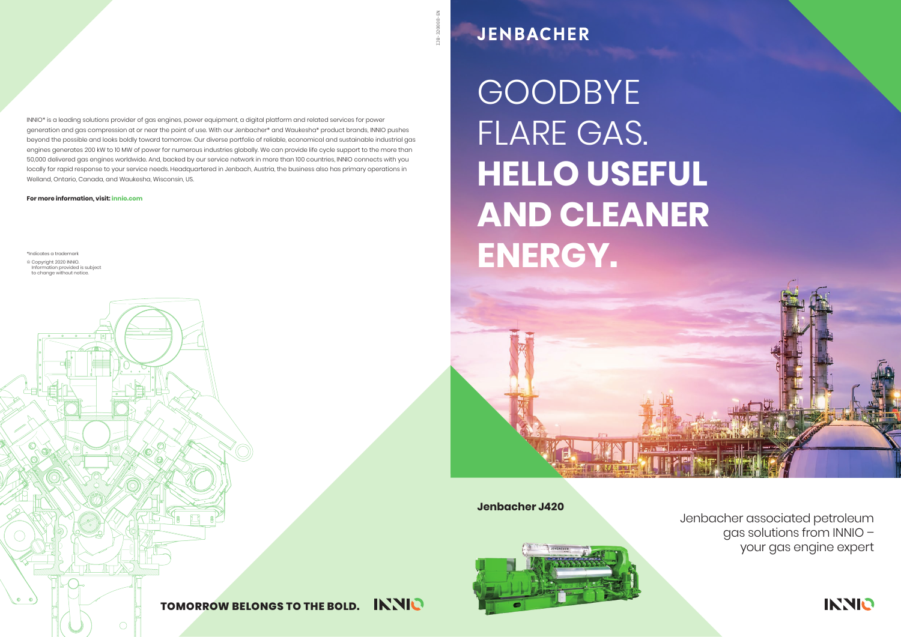**Jenbacher J420**





#### **INNIO TOMORROW BELONGS TO THE BOLD.**

**JENBACHER** 

GOODBYE FLARE GAS. **HELLO USEFUL AND CLEANER ENERGY.** 

> Jenbacher associated petroleum gas solutions from INNIO – your gas engine expert



\*Indicates a trademark

© Copyright 2020 INNIO.<br>Information provided is subject<br>to change without notice.

**For more information, visit: innio.com**

 $\bigcap$ 

INNIO\* is a leading solutions provider of gas engines, power equipment, a digital platform and related services for power generation and gas compression at or near the point of use. With our Jenbacher\* and Waukesha\* product brands, INNIO pushes beyond the possible and looks boldly toward tomorrow. Our diverse portfolio of reliable, economical and sustainable industrial gas engines generates 200 kW to 10 MW of power for numerous industries globally. We can provide life cycle support to the more than 50,000 delivered gas engines worldwide. And, backed by our service network in more than 100 countries, INNIO connects with you locally for rapid response to your service needs. Headquartered in Jenbach, Austria, the business also has primary operations in Welland, Ontario, Canada, and Waukesha, Wisconsin, US.